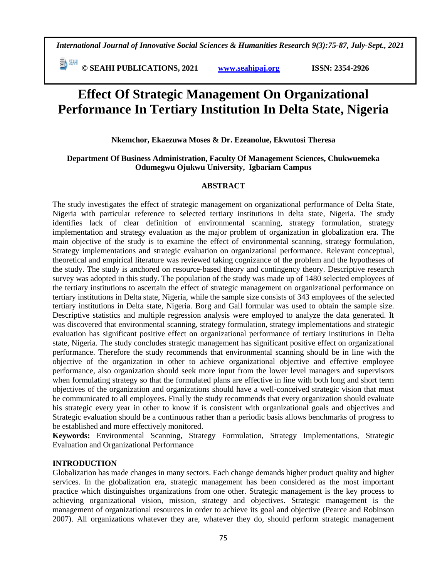**© SEAHI PUBLICATIONS, 2021 [www.seahipaj.org](http://www.seahipaj.org/) ISSN: 2354-2926** 

# **Effect Of Strategic Management On Organizational Performance In Tertiary Institution In Delta State, Nigeria**

**Nkemchor, Ekaezuwa Moses & Dr. Ezeanolue, Ekwutosi Theresa**

#### **Department Of Business Administration, Faculty Of Management Sciences, Chukwuemeka Odumegwu Ojukwu University, Igbariam Campus**

#### **ABSTRACT**

The study investigates the effect of strategic management on organizational performance of Delta State, Nigeria with particular reference to selected tertiary institutions in delta state, Nigeria. The study identifies lack of clear definition of environmental scanning, strategy formulation, strategy implementation and strategy evaluation as the major problem of organization in globalization era. The main objective of the study is to examine the effect of environmental scanning, strategy formulation, Strategy implementations and strategic evaluation on organizational performance. Relevant conceptual, theoretical and empirical literature was reviewed taking cognizance of the problem and the hypotheses of the study. The study is anchored on resource-based theory and contingency theory. Descriptive research survey was adopted in this study. The population of the study was made up of 1480 selected employees of the tertiary institutions to ascertain the effect of strategic management on organizational performance on tertiary institutions in Delta state, Nigeria, while the sample size consists of 343 employees of the selected tertiary institutions in Delta state, Nigeria. Borg and Gall formular was used to obtain the sample size. Descriptive statistics and multiple regression analysis were employed to analyze the data generated. It was discovered that environmental scanning, strategy formulation, strategy implementations and strategic evaluation has significant positive effect on organizational performance of tertiary institutions in Delta state, Nigeria. The study concludes strategic management has significant positive effect on organizational performance. Therefore the study recommends that environmental scanning should be in line with the objective of the organization in other to achieve organizational objective and effective employee performance, also organization should seek more input from the lower level managers and supervisors when formulating strategy so that the formulated plans are effective in line with both long and short term objectives of the organization and organizations should have a well-conceived strategic vision that must be communicated to all employees. Finally the study recommends that every organization should evaluate his strategic every year in other to know if is consistent with organizational goals and objectives and Strategic evaluation should be a continuous rather than a periodic basis allows benchmarks of progress to be established and more effectively monitored.

**Keywords:** Environmental Scanning, Strategy Formulation, Strategy Implementations, Strategic Evaluation and Organizational Performance

#### **INTRODUCTION**

Globalization has made changes in many sectors. Each change demands higher product quality and higher services. In the globalization era, strategic management has been considered as the most important practice which distinguishes organizations from one other. Strategic management is the key process to achieving organizational vision, mission, strategy and objectives. Strategic management is the management of organizational resources in order to achieve its goal and objective (Pearce and Robinson 2007). All organizations whatever they are, whatever they do, should perform strategic management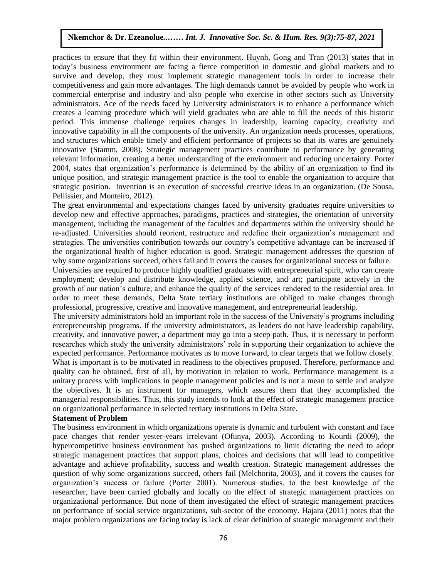practices to ensure that they fit within their environment. Huynh, Gong and Tran (2013) states that in today's business environment are facing a fierce competition in domestic and global markets and to survive and develop, they must implement strategic management tools in order to increase their competitiveness and gain more advantages. The high demands cannot be avoided by people who work in commercial enterprise and industry and also people who exercise in other sectors such as University administrators. Ace of the needs faced by University administrators is to enhance a performance which creates a learning procedure which will yield graduates who are able to fill the needs of this historic period. This immense challenge requires changes in leadership, learning capacity, creativity and innovative capability in all the components of the university. An organization needs processes, operations, and structures which enable timely and efficient performance of projects so that its wares are genuinely and structures which enable timely and efficient performance of projects so that its wares are genuinely innovative (Stamm, 2008). Strategic management practices contribute to performance by generating relevant information, creating a better understanding of the environment and reducing uncertainty. Porter 2004, states that organization's performance is determined by the ability of an organization to find its unique position, and strategic management practice is the tool to enable the organization to acquire that strategic position. Invention is an execution of successful creative ideas in an organization. (De Sousa, Pellissier, and Monteiro, 2012).

The great environmental and expectations changes faced by university graduates require universities to develop new and effective approaches, paradigms, practices and strategies, the orientation of university management, including the management of the faculties and departments within the university should be re-adjusted. Universities should reorient, restructure and redefine their organization's management and strategies. The universities contribution towards our country's competitive advantage can be increased if the organizational health of higher education is good. Strategic management addresses the question of why some organizations succeed, others fail and it covers the causes for organizational success or failure.

Universities are required to produce highly qualified graduates with entrepreneurial spirit, who can create employment; develop and distribute knowledge, applied science, and art; participate actively in the growth of our nation's culture; and enhance the quality of the services rendered to the residential area. In order to meet these demands, Delta State tertiary institutions are obliged to make changes through professional, progressive, creative and innovative management, and entrepreneurial leadership.

The university administrators hold an important role in the success of the University's programs including entrepreneurship programs. If the university administrators, as leaders do not have leadership capability, creativity, and innovative power, a department may go into a steep path. Thus, it is necessary to perform researches which study the university administrators' role in supporting their organization to achieve the expected performance. Performance motivates us to move forward, to clear targets that we follow closely. What is important is to be motivated in readiness to the objectives proposed. Therefore, performance and quality can be obtained, first of all, by motivation in relation to work. Performance management is a unitary process with implications in people management policies and is not a mean to settle and analyze the objectives. It is an instrument for managers, which assures them that they accomplished the managerial responsibilities. Thus, this study intends to look at the effect of strategic management practice on organizational performance in selected tertiary institutions in Delta State.

#### **Statement of Problem**

The business environment in which organizations operate is dynamic and turbulent with constant and face pace changes that render yester-years irrelevant (Ofunya, 2003). According to Kourdi (2009), the hypercompetitive business environment has pushed organizations to limit dictating the need to adopt strategic management practices that support plans, choices and decisions that will lead to competitive advantage and achieve profitability, success and wealth creation. Strategic management addresses the question of why some organizations succeed, others fail (Melchorita, 2003), and it covers the causes for organization's success or failure (Porter 2001). Numerous studies, to the best knowledge of the researcher, have been carried globally and locally on the effect of strategic management practices on organizational performance. But none of them investigated the effect of strategic management practices on performance of social service organizations, sub-sector of the economy. Hajara (2011) notes that the major problem organizations are facing today is lack of clear definition of strategic management and their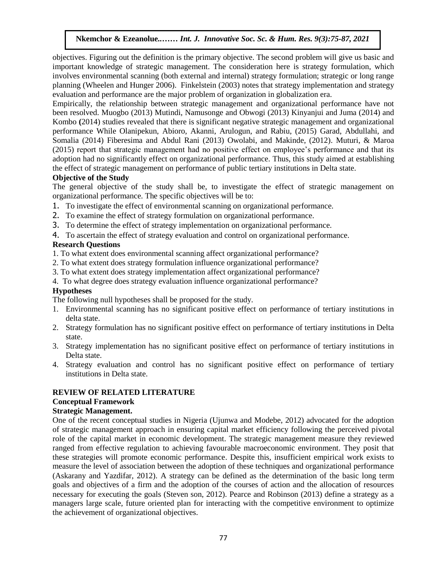objectives. Figuring out the definition is the primary objective. The second problem will give us basic and important knowledge of strategic management. The consideration here is strategy formulation, which involves environmental scanning (both external and internal) strategy formulation; strategic or long range involves planning (Wheelen and Hunger 2006). Finkelstein (2003) notes that strategy implementation and strategy evaluation and performance are the major problem of organization in globalization era.

Empirically, the relationship between strategic management and organizational performance have not been resolved. Muogbo (2013) Mutindi, Namusonge and Obwogi (2013) Kinyanjui and Juma (2014) and Kombo **(**2014) studies revealed that there is significant negative strategic management and organizational performance While Olanipekun, Abioro, Akanni, Arulogun, and Rabiu, (2015) Garad, Abdullahi, and Fiscomalia (2014) Fiberesima and Abdul Rani (2013) Owolabi, and Makinde, (2012). Muturi, & Maroa (2015) report that strategic management had no positive effect on employee's performance and that its adoption had no significantly effect on organizational performance. Thus, this study aimed at establishing the effect of strategic management on performance of public tertiary institutions in Delta state.

#### **Objective of the Study**

The general objective of the study shall be, to investigate the effect of strategic management on organizational performance. The specific objectives will be to:

- 1. To investigate the effect of environmental scanning on organizational performance.
- 2. To examine the effect of strategy formulation on organizational performance.
- 3. To determine the effect of strategy implementation on organizational performance.
- 4. To ascertain the effect of strategy evaluation and control on organizational performance.

#### **Research Questions**

- 1. To what extent does environmental scanning affect organizational performance?
- 2. To what extent does strategy formulation influence organizational performance?
- 2. To what extent does strategy formation inheritor organizational performance?
- 4. To what degree does strategy evaluation influence organizational performance?

### **Hypotheses**

The following null hypotheses shall be proposed for the study.

- 1. Environmental scanning has no significant positive effect on performance of tertiary institutions in delta state.
- 2. Strategy formulation has no significant positive effect on performance of tertiary institutions in Delta state.
- 3. Strategy implementation has no significant positive effect on performance of tertiary institutions in Delta state.
- 4. Strategy evaluation and control has no significant positive effect on performance of tertiary institutions in Delta state.

## **REVIEW OF RELATED LITERATURE**

## **Conceptual Framework**

#### **Strategic Management.**

One of the recent conceptual studies in Nigeria (Ujunwa and Modebe, 2012) advocated for the adoption of strategic management approach in ensuring capital market efficiency following the perceived pivotal role of the capital market in economic development. The strategic management measure they reviewed ranged from effective regulation to achieving favourable macroeconomic environment. They posit that these strategies will promote economic performance. Despite this, insufficient empirical work exists to measure the level of association between the adoption of these techniques and organizational performance (Askarany and Yazdifar, 2012). A strategy can be defined as the determination of the basic long term goals and objectives of a firm and the adoption of the courses of action and the allocation of resources necessary for executing the goals (Steven son, 2012). Pearce and Robinson (2013) define a strategy as a managers large scale, future oriented plan for interacting with the competitive environment to optimize the achievement of organizational objectives.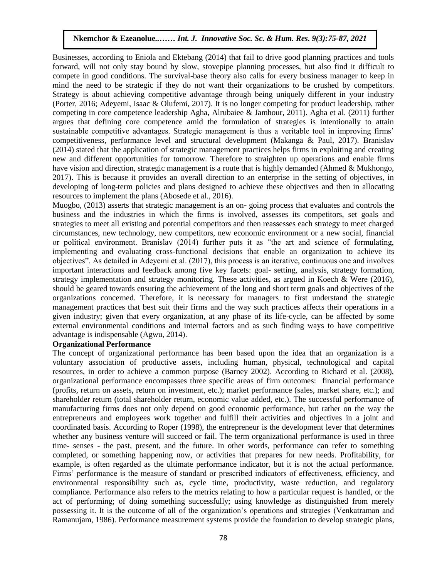Businesses, according to Eniola and Ektebang (2014) that fail to drive good planning practices and tools forward, will not only stay bound by slow, stovepipe planning processes, but also find it difficult to conveated, with not only stay bound by slow, stovepipe planning processes, our also find it difficult to compete in good conditions. The survival-base theory also calls for every business manager to keep in mind the need to be strategic if they do not want their organizations to be crushed by competitors. Strategy is about achieving competitive advantage through being uniquely different in your industry (Porter, 2016; Adeyemi, Isaac & Olufemi, 2017). It is no longer competing for product leadership, rather competing in core competence leadership Agha, Alrubaiee & Jamhour, 2011). Agha et al. (2011) further argues that defining core competence amid the formulation of strategies is intentionally to attain sustainable competitive advantages. Strategic management is thus a veritable tool in improving firms' competitiveness, performance level and structural development (Makanga & Paul, 2017). Branislav (2014) stated that the application of strategic management practices helps firms in exploiting and creating new and different opportunities for tomorrow. Therefore to straighten up operations and enable firms have vision and direction, strategic management is a route that is highly demanded (Ahmed & Mukhongo, 2017). This is because it provides an overall direction to an enterprise in the setting of objectives, in developing of long-term policies and plans designed to achieve these objectives and then in allocating resources to implement the plans (Abosede et al., 2016).

Muogbo,  $(2013)$  asserts that strategic management is an on-going process that evaluates and controls the business and the industries in which the firms is involved, assesses its competitors, set goals and strategies to meet all existing and potential competitors and then reassesses each strategy to meet charged circumstances, new technology, new competitors, new economic environment or a new social, financial or political environment. Branislav (2014) further puts it as "the art and science of formulating, implementing and evaluating cross-functional decisions that enable an organization to achieve its objectives". As detailed in Adeyemi et al. (2017), this process is an iterative, continuous one and involves important interactions and feedback among five key facets: goal- setting, analysis, strategy formation, strategy implementation and strategy monitoring. These activities, as argued in Koech & Were (2016), should be geared towards ensuring the achievement of the long and short term goals and objectives of the organizations concerned. Therefore, it is necessary for managers to first understand the strategic management practices that best suit their firms and the way such practices affects their operations in a given industry; given that every organization, at any phase of its life-cycle, can be affected by some external environmental conditions and internal factors and as such finding ways to have competitive advantage is indispensable (Agwu, 2014).

#### **Organizational Performance**

The concept of organizational performance has been based upon the idea that an organization is a voluntary association of productive assets, including human, physical, technological and capital resources, in order to achieve a common purpose (Barney 2002). According to Richard et al. (2008), organizational performance encompasses three specific areas of firm outcomes: financial performance (profits, return on assets, return on investment, etc.); market performance (sales, market share, etc.); and shareholder return (total shareholder return, economic value added, etc.). The successful performance of manufacturing firms does not only depend on good economic performance, but rather on the way the entrepreneurs and employees work together and fulfill their activities and objectives in a joint and coordinated basis. According to Roper (1998), the entrepreneur is the development lever that determines whether any business venture will succeed or fail. The term organizational performance is used in three time- senses - the past, present, and the future. In other words, performance can refer to something completed, or something happening now, or activities that prepares for new needs. Profitability, for example, is often regarded as the ultimate performance indicator, but it is not the actual performance. Firms' performance is the measure of standard or prescribed indicators of effectiveness, efficiency, and environmental responsibility such as, cycle time, productivity, waste reduction, and regulatory compliance. Performance also refers to the metrics relating to how a particular request is handled, or the act of performing; of doing something successfully; using knowledge as distinguished from merely possessing it. It is the outcome of all of the organization's operations and strategies (Venkatraman and Ramanujam, 1986). Performance measurement systems provide the foundation to develop strategic plans,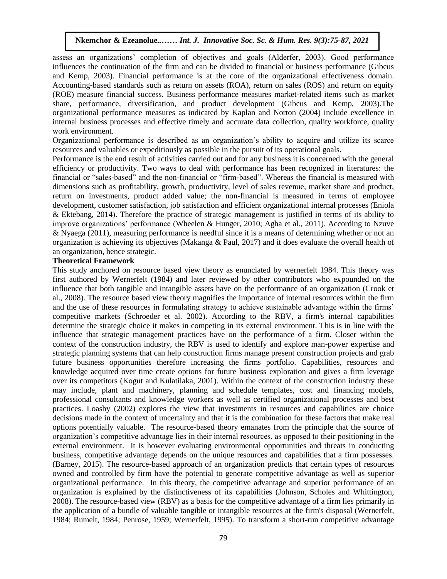assess an organizations' completion of objectives and goals (Alderfer, 2003). Good performance influences the continuation of the firm and can be divided to financial or business performance (Gibcus and Kemp, 2003). Financial performance is at the core of the organizational effectiveness domain. Accounting-based standards such as return on assets (ROA), return on sales (ROS) and return on equity (ROE) measure financial success. Business performance measures market-related items such as market share, performance, diversification, and product development (Gibcus and Kemp, 2003).The organizational performance measures as indicated by Kaplan and Norton (2004) include excellence in internal business processes and effective timely and accurate data collection, quality workforce, quality work environment.

Organizational performance is described as an organization's ability to acquire and utilize its scarce resources and valuables or expeditiously as possible in the pursuit of its operational goals.

Performance is the end result of activities carried out and for any business it is concerned with the general efficiency or productivity. Two ways to deal with performance has been recognized in literatures: the financial or "sales-based" and the non-financial or "firm-based". Whereas the financial is measured with dimensions such as profitability, growth, productivity, level of sales revenue, market share and product, return on investments, product added value; the non-financial is measured in terms of employee development, customer satisfaction, job satisfaction and efficient organizational internal processes (Eniola & Ektebang, 2014). Therefore the practice of strategic management is justified in terms of its ability to improve organizations' performance (Wheelen & Hunger, 2010; Agha et al., 2011). According to Nzuve & Nyaega (2011), measuring performance is needful since it is a means of determining whether or not an  $\alpha$  Tyaega (2011), measuring performance is necurity since it is a means of determining whether or not an organization is achieving its objectives (Makanga  $\alpha$  Paul, 2017) and it does evaluate the overall health of an organization, hence strategic.

#### **Theoretical Framework**

This study anchored on resource based view theory as enunciated by wernerfelt 1984. This theory was first authored by Wernerfelt (1984) and later reviewed by other contributors who expounded on the influence that both tangible and intangible assets have on the performance of an organization (Crook et al., 2008). The resource based view theory magnifies the importance of internal resources within the firm and the use of these resources in formulating strategy to achieve sustainable advantage within the firms' competitive markets (Schroeder et al. 2002). According to the RBV, a firm's internal capabilities determine the strategic choice it makes in competing in its external environment. This is in line with the influence that strategic management practices have on the performance of a firm. Closer within the context of the construction industry, the RBV is used to identify and explore man-power expertise and strategic planning systems that can help construction firms manage present construction projects and grab future business opportunities therefore increasing the firms portfolio. Capabilities, resources and knowledge acquired over time create options for future business exploration and gives a firm leverage over its competitors (Kogut and Kulatilaka, 2001). Within the context of the construction industry these may include, plant and machinery, planning and schedule templates, cost and financing models, professional consultants and knowledge workers as well as certified organizational processes and best practices. Loasby (2002) explores the view that investments in resources and capabilities are choice decisions made in the context of uncertainty and that it is the combination for these factors that make real options potentially valuable. The resource-based theory emanates from the principle that the source of organization's competitive advantage lies in their internal resources, as opposed to their positioning in the external environment. It is however evaluating environmental opportunities and threats in conducting business, competitive advantage depends on the unique resources and capabilities that a firm possesses. (Barney, 2015). The resource-based approach of an organization predicts that certain types of resources owned and controlled by firm have the potential to generate competitive advantage as well as superior organizational performance. In this theory, the competitive advantage and superior performance of an organization is explained by the distinctiveness of its capabilities (Johnson, Scholes and Whittington, 2008). The resource-based view (RBV) as a basis for the competitive advantage of a firm lies primarily in the application of a bundle of valuable tangible or intangible resources at the firm's disposal (Wernerfelt, 1984; Rumelt, 1984; Penrose, 1959; Wernerfelt, 1995). To transform a short-run competitive advantage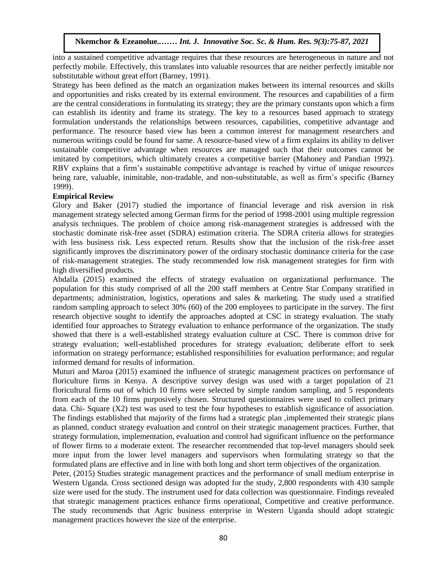into a sustained competitive advantage requires that these resources are heterogeneous in nature and not perfectly mobile. Effectively, this translates into valuable resources that are neither perfectly imitable nor substitutable without great effort (Barney, 1991).

Strategy has been defined as the match an organization makes between its internal resources and skills and opportunities and risks created by its external environment. The resources and capabilities of a firm are the central considerations in formulating its strategy; they are the primary constants upon which a firm are the central considerations in formulating its strategy, they are the primary constants upon which a firm<br>can establish its identity and frame its strategy. The key to a resources based approach to strategy formulation understands the relationships between resources, capabilities, competitive advantage and performance. The resource based view has been a common interest for management researchers and numerous writings could be found for same. A resource-based view of a firm explains its ability to deliver sustainable competitive advantage when resources are managed such that their outcomes cannot be imitated by competitors, which ultimately creates a competitive barrier (Mahoney and Pandian 1992). RBV explains that a firm's sustainable competitive advantage is reached by virtue of unique resources REFT CAPTAINS that a fifth s sustainable competitive advantage is reached by virtue of unique resources<br>being rare, valuable, inimitable, non-tradable, and non-substitutable, as well as firm's specific (Barney 1999).

#### **Empirical Review**

Glory and Baker (2017) studied the importance of financial leverage and risk aversion in risk management strategy selected among German firms for the period of 1998-2001 using multiple regression analysis techniques. The problem of choice among risk-management strategies is addressed with the stochastic dominate risk-free asset (SDRA) estimation criteria. The SDRA criteria allows for strategies with less business risk. Less expected return. Results show that the inclusion of the risk-free asset with less significantly improves the discriminatory power of the ordinary stochastic dominance criteria for the case of risk-management strategies. The study recommended low risk management strategies for firm with high diversified products.

Abdalla (2015) examined the effects of strategy evaluation on organizational performance. The population for this study comprised of all the 200 staff members at Centre Star Company stratified in departments; administration, logistics, operations and sales & marketing. The study used a stratified random sampling approach to select 30% (60) of the 200 employees to participate in the survey. The first research objective sought to identify the approaches adopted at CSC in strategy evaluation. The study identified four approaches to Strategy evaluation to enhance performance of the organization. The study showed that there is a well-established strategy evaluation culture at CSC. There is common drive for strategy evaluation; well-established procedures for strategy evaluation; deliberate effort to seek information on strategy performance; established responsibilities for evaluation performance; and regular informed demand for results of information.

Muturi and Maroa (2015) examined the influence of strategic management practices on performance of floriculture firms in Kenya. A descriptive survey design was used with a target population of 21 floricultural firms out of which 10 firms were selected by simple random sampling, and 5 respondents from each of the 10 firms purposively chosen. Structured questionnaires were used to collect primary data. Chi- Square (X2) test was used to test the four hypotheses to establish significance of association. The findings established that majority of the firms had a strategic plan ,implemented their strategic plans as planned, conduct strategy evaluation and control on their strategic management practices. Further, that strategy formulation, implementation, evaluation and control had significant influence on the performance of flower firms to a moderate extent. The researcher recommended that top-level managers should seek more input from the lower level managers and supervisors when formulating strategy so that the formulated plans are effective and in line with both long and short term objectives of the organization.

Peter, (2015) Studies strategic management practices and the performance of small medium enterprise in Western Uganda. Cross sectioned design was adopted for the study, 2,800 respondents with 430 sample size were used for the study. The instrument used for data collection was questionnaire. Findings revealed that strategic management practices enhance firms operational, Competitive and creative performance. The study recommends that Agric business enterprise in Western Uganda should adopt strategic management practices however the size of the enterprise.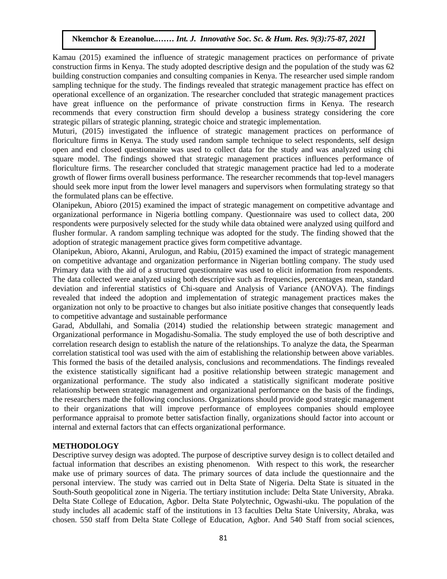Kamau (2015) examined the influence of strategic management practices on performance of private construction firms in Kenya. The study adopted descriptive design and the population of the study was 62 building construction companies and consulting companies in Kenya. The researcher used simple random building construction companies and consulting companies in Kenya. The researcher used simple random sampling technique for the study. The findings revealed that strategic management practice has effect on operational excellence of an organization. The researcher concluded that strategic management practices have great influence on the performance of private construction firms in Kenya. The research recommends that every construction firm should develop a business strategy considering the core strategic pillars of strategic planning, strategic choice and strategic implementation.

Muturi, (2015) investigated the influence of strategic management practices on performance of floriculture firms in Kenya. The study used random sample technique to select respondents, self design open and end closed questionnaire was used to collect data for the study and was analyzed using chi square model. The findings showed that strategic management practices influences performance of floriculture firms. The researcher concluded that strategic management practice had led to a moderate growth of flower firms overall business performance. The researcher recommends that top-level managers should seek more input from the lower level managers and supervisors when formulating strategy so that the formulated plans can be effective.

Olanipekun, Abioro (2015) examined the impact of strategic management on competitive advantage and organizational performance in Nigeria bottling company. Questionnaire was used to collect data, 200 respondents were purposively selected for the study while data obtained were analyzed using quilford and flusher formular. A random sampling technique was adopted for the study. The finding showed that the adoption of strategic management practice gives form competitive advantage.

Olanipekun, Abioro, Akanni, Arulogun, and Rabiu, (2015) examined the impact of strategic management on competitive advantage and organization performance in Nigerian bottling company. The study used Primary data with the aid of a structured questionnaire was used to elicit information from respondents. The data collected were analyzed using both descriptive such as frequencies, percentages mean, standard deviation and inferential statistics of Chi-square and Analysis of Variance (ANOVA). The findings revealed that indeed the adoption and implementation of strategic management practices makes the organization not only to be proactive to changes but also initiate positive changes that consequently leads to competitive advantage and sustainable performance

Garad, Abdullahi, and Somalia (2014) studied the relationship between strategic management and Organizational performance in Mogadishu-Somalia. The study employed the use of both descriptive and correlation research design to establish the nature of the relationships. To analyze the data, the Spearman correlation statistical tool was used with the aim of establishing the relationship between above variables. This formed the basis of the detailed analysis, conclusions and recommendations. The findings revealed the existence statistically significant had a positive relationship between strategic management and organizational performance. The study also indicated a statistically significant moderate positive relationship between strategic management and organizational performance on the basis of the findings, the researchers made the following conclusions. Organizations should provide good strategic management to their organizations that will improve performance of employees companies should employee performance appraisal to promote better satisfaction finally, organizations should factor into account or internal and external factors that can effects organizational performance.

#### **METHODOLOGY**

Descriptive survey design was adopted. The purpose of descriptive survey design is to collect detailed and factual information that describes an existing phenomenon. With respect to this work, the researcher make use of primary sources of data. The primary sources of data include the questionnaire and the personal interview. The study was carried out in Delta State of Nigeria. Delta State is situated in the South-South geopolitical zone in Nigeria. The tertiary institution include: Delta State University, Abraka. Delta State College of Education, Agbor. Delta State Polytechnic, Ogwashi-uku. The population of the study includes all academic staff of the institutions in 13 faculties Delta State University, Abraka, was chosen. 550 staff from Delta State College of Education, Agbor. And 540 Staff from social sciences,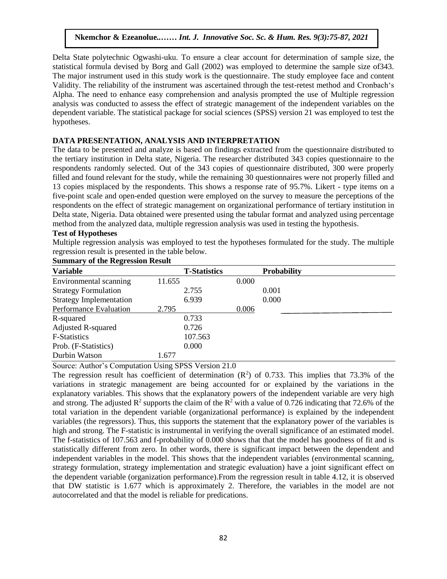Delta State polytechnic Ogwashi-uku. To ensure a clear account for determination of sample size, the statistical formula devised by Borg and Gall (2002) was employed to determine the sample size of 343. The major instrument used in this study work is the questionnaire. The study employee face and content Validity. The reliability of the instrument was ascertained through the test-retest method and Cronbach's Alpha. The need to enhance easy comprehension and analysis prompted the use of Multiple regression analysis was conducted to assess the effect of strategic management of the independent variables on the dependent variable. The statistical package for social sciences (SPSS) version 21 was employed to test the hypotheses.

## DATA PRESENTATION, ANALYSIS AND INTERPRETATION

The data to be presented and analyze is based on findings extracted from the questionnaire distributed to the tertiary institution in Delta state, Nigeria. The researcher distributed 343 copies questionnaire to the respondents randomly selected. Out of the 343 copies of questionnaire distributed, 300 were properly filled and found relevant for the study, while the remaining 30 questionnaires were not properly filled and 13 copies misplaced by the respondents. This shows a response rate of 95.7%. Likert - type items on a five-point scale and open-ended question were employed on the survey to measure the perceptions of the respondents on the effect of strategic management on organizational performance of tertiary institution in respondents on the effect of strategic management on organizational performance of tertiary institution in Delta state, Nigeria. Data obtained were presented using the tabular format and analyzed using percentage method from the analyzed data, multiple regression analysis was used in testing the hypothesis.

## **Test of Hypotheses**

Multiple regression analysis was employed to test the hypotheses formulated for the study. The multiple regression result is presented in the table below.

|  |  | <b>Summary of the Regression Result</b> |  |
|--|--|-----------------------------------------|--|
|--|--|-----------------------------------------|--|

| <b>Variable</b>                |        | <b>T-Statistics</b> |       | <b>Probability</b> |
|--------------------------------|--------|---------------------|-------|--------------------|
| Environmental scanning         | 11.655 |                     | 0.000 |                    |
| <b>Strategy Formulation</b>    |        | 2.755               |       | 0.001              |
| <b>Strategy Implementation</b> |        | 6.939               |       | 0.000              |
| Performance Evaluation         | 2.795  |                     | 0.006 |                    |
| R-squared                      |        | 0.733               |       |                    |
| <b>Adjusted R-squared</b>      |        | 0.726               |       |                    |
| <b>F-Statistics</b>            |        | 107.563             |       |                    |
| Prob. (F-Statistics)           |        | 0.000               |       |                    |
| Durbin Watson                  | 1.677  |                     |       |                    |

Source: Author's Computation Using SPSS Version 21.0

The regression result has coefficient of determination  $(R^2)$  of 0.733. This implies that 73.3% of the variations in strategic management are being accounted for or explained by the variations in the explanatory variables. This shows that the explanatory powers of the independent variable are very high and strong. The adjusted  $\mathbb{R}^2$  supports the claim of the  $\mathbb{R}^2$  with a value of 0.726 indicating that 72.6% of the total variation in the dependent variable (organizational performance) is explained by the independent variables (the regressors). Thus, this supports the statement that the explanatory power of the variables is high and strong. The F-statistic is instrumental in verifying the overall significance of an estimated model. The f-statistics of 107.563 and f-probability of 0.000 shows that that the model has goodness of fit and is statistically different from zero. In other words, there is significant impact between the dependent and independent variables in the model. This shows that the independent variables (environmental scanning, strategy formulation, strategy implementation and strategic evaluation) have a joint significant effect on the dependent variable (organization performance).From the regression result in table 4.12, it is observed that DW statistic is 1.677 which is approximately 2. Therefore, the variables in the model are not autocorrelated and that the model is reliable for predications.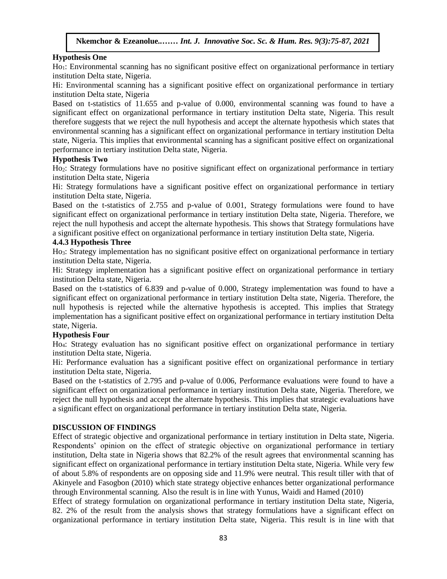#### **Hypothesis One**

Ho<sub>1</sub>: Environmental scanning has no significant positive effect on organizational performance in tertiary institution Delta state, Nigeria.

Hi: Environmental scanning has a significant positive effect on organizational performance in tertiary institution Delta state, Nigeria

Based on t-statistics of 11.655 and p-value of 0.000, environmental scanning was found to have a significant effect on organizational performance in tertiary institution Delta state, Nigeria. This result therefore suggests that we reject the null hypothesis and accept the alternate hypothesis which states that environmental scanning has a significant effect on organizational performance in tertiary institution Delta state, Nigeria. This implies that environmental scanning has a significant positive effect on organizational performance in tertiary institution Delta state, Nigeria.

#### **Hypothesis Two**

Ho<sub>2</sub>: Strategy formulations have no positive significant effect on organizational performance in tertiary institution Delta at the Nigeria. institution Delta state, Nigeria

Hi: Strategy formulations have a significant positive effect on organizational performance in tertiary institution Delta state, Nigeria.

Based on the t-statistics of 2.755 and p-value of 0.001, Strategy formulations were found to have significant effect on organizational performance in tertiary institution Delta state, Nigeria. Therefore, we reject the null hypothesis and accept the alternate hypothesis. This shows that Strategy formulations have a significant positive effect on organizational performance in tertiary institution Delta state, Nigeria.<br>4.4.3 Hypothesis Three

#### **4.4.3 Hypothesis Three**

Ho3: Strategy implementation has no significant positive effect on organizational performance in tertiary institution Delta state, Nigeria.

Hi: Strategy implementation has a significant positive effect on organizational performance in tertiary institution Delta state, Nigeria.

Based on the t-statistics of 6.839 and p-value of 0.000, Strategy implementation was found to have a significant effect on organizational performance in tertiary institution Delta state, Nigeria. Therefore, the null hypothesis is rejected while the alternative hypothesis is accepted. This implies that Strategy implementation has a significant positive effect on organizational performance in tertiary institution Delta state, Nigeria.

#### **Hypothesis Four**

Ho4: Strategy evaluation has no significant positive effect on organizational performance in tertiary institution Delta state, Nigeria.

Hi: Performance evaluation has a significant positive effect on organizational performance in tertiary institution Delta state, Nigeria.

Based on the t-statistics of 2.795 and p-value of 0.006, Performance evaluations were found to have a significant effect on organizational performance in tertiary institution Delta state, Nigeria. Therefore, we reject the null hypothesis and accept the alternate hypothesis. This implies that strategic evaluations have a significant effect on organizational performance in tertiary institution Delta state, Nigeria.

#### **DISCUSSION OF FINDINGS**

Effect of strategic objective and organizational performance in tertiary institution in Delta state, Nigeria. Respondents' opinion on the effect of strategic objective on organizational performance in tertiary institution, Delta state in Nigeria shows that 82.2% of the result agrees that environmental scanning has significant effect on organizational performance in tertiary institution Delta state, Nigeria. While very few of about 5.8% of respondents are on opposing side and 11.9% were neutral. This result tiller with that of Akinyele and Fasogbon (2010) which state strategy objective enhances better organizational performance through Environmental scanning. Also the result is in line with Yunus, Waidi and Hamed (2010)

Effect of strategy formulation on organizational performance in tertiary institution Delta state, Nigeria, 82. 2% of the result from the analysis shows that strategy formulations have a significant effect on organizational performance in tertiary institution Delta state, Nigeria. This result is in line with that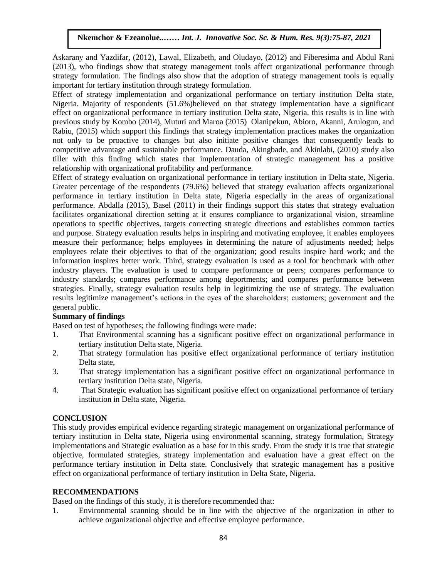Askarany and Yazdifar, (2012), Lawal, Elizabeth, and Oludayo, (2012) and Fiberesima and Abdul Rani (2013), who findings show that strategy management tools affect organizational performance through (2013), who rindings show that strategy management tools arrect organizational performance unough<br>strategy formulation. The findings also show that the adoption of strategy management tools is equally important for tertiary institution through strategy formulation.

Effect of strategy implementation and organizational performance on tertiary institution Delta state, Nigeria. Majority of respondents (51.6%)believed on that strategy implementation have a significant effect on organizational performance in tertiary institution Delta state, Nigeria. this results is in line with previous study by Kombo (2014), Muturi and Maroa (2015) Olanipekun, Abioro, Akanni, Arulogun, and Rabiu, (2015) which support this findings that strategy implementation practices makes the organization not only to be proactive to changes but also initiate positive changes that consequently leads to  $\frac{1}{2}$ competitive advantage and sustainable performance. Dauda, Akingbade, and Akinlabi, (2010) study also tiller with this finding which states that implementation of strategic management has a positive relationship with organizational profitability and performance.

Effect of strategy evaluation on organizational performance in tertiary institution in Delta state, Nigeria. Greater percentage of the respondents (79.6%) believed that strategy evaluation affects organizational performance in tertiary institution in Delta state, Nigeria especially in the areas of organizational performance. Abdalla (2015), Basel (2011) in their findings support this states that strategy evaluation performance. facilitates organizational direction setting at it ensures compliance to organizational vision, streamline operations to specific objectives, targets correcting strategic directions and establishes common tactics and purpose. Strategy evaluation results helps in inspiring and motivating employee, it enables employees measure their performance; helps employees in determining the nature of adjustments needed; helps employees relate their objectives to that of the organization; good results inspire hard work; and the information inspires better work. Third, strategy evaluation is used as a tool for benchmark with other industry players. The evaluation is used to compare performance or peers; compares performance to industry standards; compares performance among deportments; and compares performance between strategies. Finally, strategy evaluation results help in legitimizing the use of strategy. The evaluation results legitimize management's actions in the eyes of the shareholders; customers; government and the general public.

#### **Summary of findings**

Based on test of hypotheses; the following findings were made:

- 1. That Environmental scanning has a significant positive effect on organizational performance in tertiary institution Delta state, Nigeria.
- 2. That strategy formulation has positive effect organizational performance of tertiary institution Delta state,
- 3. That strategy implementation has a significant positive effect on organizational performance in tertiary institution Delta state, Nigeria.
- 4. That Strategic evaluation has significant positive effect on organizational performance of tertiary institution in Delta state, Nigeria.

## **CONCLUSION**

This study provides empirical evidence regarding strategic management on organizational performance of tertiary institution in Delta state, Nigeria using environmental scanning, strategy formulation, Strategy implementations and Strategic evaluation as a base for in this study. From the study it is true that strategic objective, formulated strategies, strategy implementation and evaluation have a great effect on the performance tertiary institution in Delta state. Conclusively that strategic management has a positive effect on organizational performance of tertiary institution in Delta State, Nigeria.

#### **RECOMMENDATIONS**

Based on the findings of this study, it is therefore recommended that:

1. Environmental scanning should be in line with the objective of the organization in other to achieve organizational objective and effective employee performance.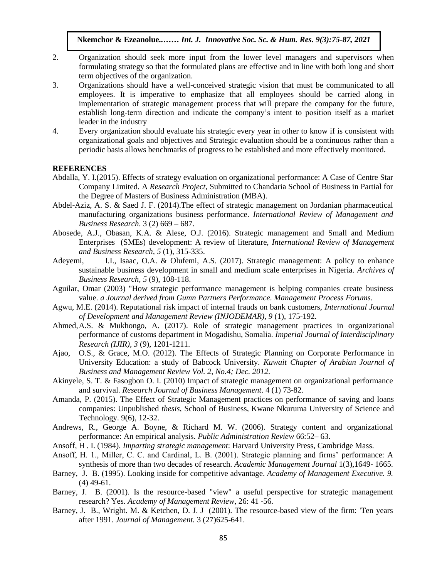- 2. Organization should seek more input from the lower level managers and supervisors when formulating strategy so that the formulated plans are effective and in line with both long and short term objectives of the organization.
- 3. Organizations should have a well-conceived strategic vision that must be communicated to all employees. It is imperative to emphasize that all employees should be carried along in implementation of strategic management process that will prepare the company for the future, establish long-term direction and indicate the company's intent to position itself as a market leader in the industry
- 4. Every organization should evaluate his strategic every year in other to know if is consistent with organizational goals and objectives and Strategic evaluation should be a continuous rather than a periodic basis allows benchmarks of progress to be established and more effectively monitored.

#### **REFERENCES**

- Abdalla, Y. I.(2015). Effects of strategy evaluation on organizational performance: A Case of Centre Star Company Limited. A *Research Project*, Submitted to Chandaria School of Business in Partial for the Degree of Masters of Business Administration (MBA).  $RENCES$
- Abdel-Aziz, A. S. & Saed J. F. (2014). The effect of strategic management on Jordanian pharmaceutical manufacturing organizations business performance. *International Review of Management and Business Research*. 3 (2) 669 – 687.
- Abosede, A.J., Obasan, K.A. & Alese, O.J. (2016). Strategic management and Small and Medium Enterprises (SMEs) development: A review of literature, *International Review of Management and Business Research, 5* (1), 315-335.
- Adeyemi, I.I., Isaac, O.A. & Olufemi, A.S. (2017). Strategic management: A policy to enhance sustainable business development in small and medium scale enterprises in Nigeria. Archives of *Business Research, 5* (9), 108-118.
- Aguilar, Omar (2003) "How strategic performance management is helping companies create business value. *a Journal derived from Gumn Partners Performance. Management Process Forums*.
- Agwu, M.E. (2014). Reputational risk impact of internal frauds on bank customers, *International Journal of Development and Management Review (INJODEMAR), 9* (1), 175-192.
- Ahmed,A.S. & Mukhongo, A. (2017). Role of strategic management practices in organizational performance of customs department in Mogadishu, Somalia. *Imperial Journal of Interdisciplinary Research (IJIR), 3* (9), 1201-1211.
- Ajao, O.S., & Grace, M.O. (2012). The Effects of Strategic Planning on Corporate Performance in University Education: a study of Babcock University. *Kuwait Chapter of Arabian Journal of Business and Management Review Vol. 2, No.4; Dec. 2012.*
- Akinyele, S. T. & Fasogbon O. I. (2010) Impact of strategic management on organizational performance and survival. *Research Journal of Business Management*. 4 (1) 73-82*.*
- Amanda, P. (2015). The Effect of Strategic Management practices on performance of saving and loans companies: Unpublished *thesis*, School of Business, Kwane Nkuruma University of Science and Technology. 9(6), 12-32.
- Andrews, R., George A. Boyne, & Richard M. W. (2006). Strategy content and organizational performance: An empirical analysis. *Public Administration Review* 66:52– 63.
- Ansoff, H . I. (1984). *Imparting strategic management*: Harvard University Press, Cambridge Mass.
- Ansoff, H. 1., Miller, C. C. and Cardinal, L. B. (2001). Strategic planning and firms' performance: A synthesis of more than two decades of research. *Academic Management Journal* 1(3),1649- 1665.
- Barney, J. B. (1995). Looking inside for competitive advantage. *Academy of Management Executive. 9.* (4) 49-61.
- Barney, J. B. (2001). Is the resource-based "view" a useful perspective for strategic management research? Yes. *Academy of Management Review,* 26: 41 -56.
- Barney, J. B., Wright. M. & Ketchen, D. J. J (2001). The resource-based view of the firm: 'Ten years after 1991. *Journal of Management.* 3 (27)625-641.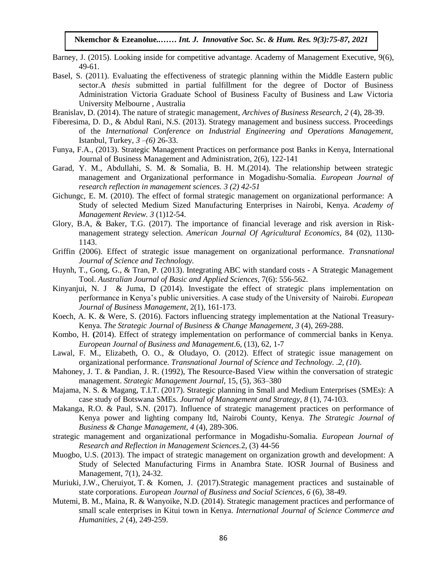- Barney, J. (2015). Looking inside for competitive advantage. Academy of Management Executive, 9(6), 49-61.
- Basel, S. (2011). Evaluating the effectiveness of strategic planning within the Middle Eastern public sector.A *thesis* submitted in partial fulfillment for the degree of Doctor of Business Administration Victoria Graduate School of Business Faculty of Business and Law Victoria University Melbourne, Australia
- Branislav, D. (2014). The nature of strategic management, *Archives of Business Research, 2* (4), 28-39.
- Fiberesima, D. D., & Abdul Rani, N.S. (2013). Strategy management and business success. Proceedings of the *International Conference on Industrial Engineering and Operations Management,* Istanbul, Turkey,  $3-(6)$   $26-33$ .
- Funya, F.A., (2013). Strategic Management Practices on performance post Banks in Kenya, International Journal of Business Management and Administration, 2(6), 122-141
- Garad, Y. M., Abdullahi, S. M. & Somalia, B. H. M.(2014). The relationship between strategic management and Organizational performance in Mogadishu-Somalia. *European Journal of research reflection in management sciences. 3 (2) 42-51*
- Gichungc, E. M. (2010). The effect of formal strategic management on organizational performance: A Study of selected Medium Sized Manufacturing Enterprises in Nairobi, Kenya. Academy of *Management Review. 3* (1)12-54.
- Glory, B.A, & Baker, T.G. (2017). The importance of financial leverage and risk aversion in Riskmanagement strategy selection. *American Journal Of Agricultural Economics*, 84 (02), 1130-<br>1142 1143.
- Griffin (2006). Effect of strategic issue management on organizational performance. *Transnational Journal of Science and Technology.*
- Huynh, T., Gong, G., & Tran, P. (2013). Integrating ABC with standard costs A Strategic Management Tool. *Australian Journal of Basic and Applied Sciences,* 7(6): 556-562.
- Kinyanjui, N. J & Juma, D (2014). Investigate the effect of strategic plans implementation on performance in Kenya's public universities. A case study of the University of Nairobi. *European Journal of Business Management*, 2(1), 161-173.
- Koech, A. K. & Were, S. (2016). Factors influencing strategy implementation at the National Treasury-Kenya. *The Strategic Journal of Business & Change Management, 3* (4), 269-288.
- Kombo, H. **(**2014). Effect of strategy implementation on performance of commercial banks in Kenya. *European Journal of Business and Management*.6, (13), 62, 1-7
- Lawal, F. M., Elizabeth, O. O., & Oludayo, O. (2012). Effect of strategic issue management on organizational performance. *Transnational Journal of Science and Technology. .2, (10*).
- Mahoney, J. T. & Pandian, J. R. (1992), The Resource-Based View within the conversation of strategic management. *Strategic Management Journal,* 15, (5), 363–380
- Majama, N. S. & Magang, T.I.T. (2017). Strategic planning in Small and Medium Enterprises (SMEs): A case study of Botswana SMEs. *Journal of Management and Strategy, 8* (1), 74-103.
- Makanga, R.O. & Paul, S.N. (2017). Influence of strategic management practices on performance of Kenya power and lighting company ltd, Nairobi County, Kenya. *The Strategic Journal of Business & Change Management, 4* (4), 289-306.
- strategic management and organizational performance in Mogadishu-Somalia. *European Journal of Research and Reflection in Management Sciences.*2, (3) 44-56
- Muogbo, U.S. (2013). The impact of strategic management on organization growth and development: A Study of Selected Manufacturing Firms in Anambra State. IOSR Journal of Business and Management, 7(1), 24-32.
- Muriuki, J.W., Cheruiyot, T. & Komen, J. (2017).Strategic management practices and sustainable of state corporations. *European Journal of Business and Social Sciences, 6* (6), 38-49.
- Mutemi, B. M., Maina, R. & Wanyoike, N.D. (2014). Strategic management practices and performance of small scale enterprises in Kitui town in Kenya. *International Journal of Science Commerce and Humanities, 2* (4), 249-259.